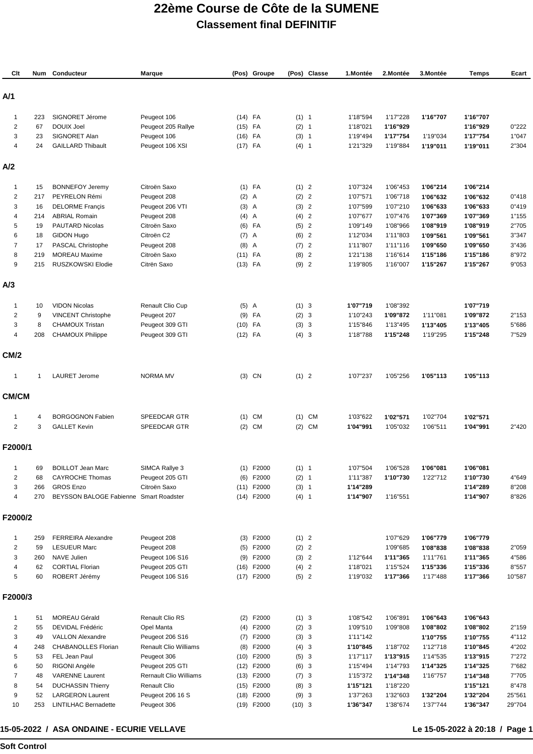## **22ème Course de Côte de la SUMENE Classement final DEFINITIF**

| Clt                 | Num       | Conducteur                                     | Marque                                          |                    | (Pos) Groupe        |                | (Pos) Classe | 1.Montée             | 2.Montée             | 3.Montée             | <b>Temps</b>         | Ecart           |
|---------------------|-----------|------------------------------------------------|-------------------------------------------------|--------------------|---------------------|----------------|--------------|----------------------|----------------------|----------------------|----------------------|-----------------|
| A/1                 |           |                                                |                                                 |                    |                     |                |              |                      |                      |                      |                      |                 |
| $\mathbf{1}$        | 223       | SIGNORET Jérome                                | Peugeot 106                                     | $(14)$ FA          |                     | (1) 1          |              | 1'18"594             | 1'17"228             | 1'16"707             | 1'16"707             |                 |
| $\overline{2}$      | 67        | <b>DOUIX Joel</b>                              | Peugeot 205 Rallye                              | $(15)$ FA          |                     | (2) 1          |              | 1'18"021             | 1'16"929             |                      | 1'16"929             | 0"222           |
| 3                   | 23        | SIGNORET Alan                                  | Peugeot 106                                     | $(16)$ FA          |                     | (3) 1          |              | 1'19"494             | 1'17"754             | 1'19"034             | 1'17"754             | 1"047           |
| $\overline{4}$      | 24        | <b>GAILLARD Thibault</b>                       | Peugeot 106 XSI                                 | $(17)$ FA          |                     | (4) 1          |              | 1'21"329             | 1'19"884             | 1'19"011             | 1'19"011             | 2"304           |
| A/2                 |           |                                                |                                                 |                    |                     |                |              |                      |                      |                      |                      |                 |
| $\mathbf{1}$        | 15        | <b>BONNEFOY Jeremy</b>                         | Citroën Saxo                                    |                    | $(1)$ FA            | (1) 2          |              | 1'07"324             | 1'06"453             | 1'06"214             | 1'06"214             |                 |
| $\overline{2}$      | 217       | PEYRELON Rémi                                  | Peugeot 208                                     | $(2)$ A            |                     | (2) 2          |              | 1'07"571             | 1'06"718             | 1'06"632             | 1'06"632             | 0"418           |
| 3                   | 16        | <b>DELORME Françis</b>                         | Peugeot 206 VTI                                 | $(3)$ A            |                     | (3) 2          |              | 1'07"599             | 1'07"210             | 1'06"633             | 1'06"633             | 0"419           |
| 4                   | 214       | <b>ABRIAL Romain</b>                           | Peugeot 208                                     | $(4)$ A            |                     | (4) 2          |              | 1'07"677             | 1'07"476             | 1'07"369             | 1'07"369             | 1"155           |
| 5                   | 19        | PAUTARD Nicolas                                | Citroën Saxo<br>Citroën C2                      |                    | $(6)$ FA            | (5) 2<br>(6) 2 |              | 1'09"149             | 1'08"966             | 1'08"919             | 1'08"919             | 2"705           |
| 6<br>$\overline{7}$ | 18<br>17  | GIDON Hugo<br>PASCAL Christophe                | Peugeot 208                                     | $(7)$ A<br>$(8)$ A |                     | (7) 2          |              | 1'12"034<br>1'11"807 | 1'11"803<br>1'11"116 | 1'09"561<br>1'09"650 | 1'09"561<br>1'09"650 | 3"347<br>3"436  |
| 8                   | 219       | <b>MOREAU Maxime</b>                           | Citroën Saxo                                    | $(11)$ FA          |                     | $(8)$ 2        |              | 1'21"138             | 1'16"614             | 1'15"186             | 1'15"186             | 8"972           |
| 9                   | 215       | RUSZKOWSKI Elodie                              | Citrën Saxo                                     | $(13)$ FA          |                     | (9) 2          |              | 1'19"805             | 1'16"007             | 1'15"267             | 1'15"267             | 9"053           |
| A/3                 |           |                                                |                                                 |                    |                     |                |              |                      |                      |                      |                      |                 |
| $\mathbf{1}$        | 10        | <b>VIDON Nicolas</b>                           | Renault Clio Cup                                | $(5)$ A            |                     | (1) 3          |              | 1'07"719             | 1'08"392             |                      | 1'07"719             |                 |
| $\overline{2}$      | 9         | <b>VINCENT Christophe</b>                      | Peugeot 207                                     |                    | $(9)$ FA            | (2) 3          |              | 1'10"243             | 1'09"872             | 1'11"081             | 1'09"872             | 2"153           |
| 3                   | 8         | <b>CHAMOUX Tristan</b>                         | Peugeot 309 GTI                                 | $(10)$ FA          |                     | (3) 3          |              | 1'15"846             | 1'13"495             | 1'13"405             | 1'13"405             | 5"686           |
| 4                   | 208       | <b>CHAMOUX Philippe</b>                        | Peugeot 309 GTI                                 | $(12)$ FA          |                     | (4) 3          |              | 1'18"788             | 1'15"248             | 1'19"295             | 1'15"248             | 7"529           |
| <b>CM/2</b>         |           |                                                |                                                 |                    |                     |                |              |                      |                      |                      |                      |                 |
| $\mathbf 1$         | 1         | <b>LAURET Jerome</b>                           | <b>NORMA MV</b>                                 |                    | $(3)$ CN            | (1) 2          |              | 1'07"237             | 1'05"256             | 1'05"113             | 1'05"113             |                 |
| CM/CM               |           |                                                |                                                 |                    |                     |                |              |                      |                      |                      |                      |                 |
| -1                  | 4         | <b>BORGOGNON Fabien</b>                        | SPEEDCAR GTR                                    |                    | $(1)$ CM            |                | $(1)$ CM     | 1'03"622             | 1'02"571             | 1'02"704             | 1'02"571             |                 |
| $\overline{2}$      | 3         | <b>GALLET Kevin</b>                            | SPEEDCAR GTR                                    | (2)                | CM                  |                | $(2)$ CM     | 1'04"991             | 1'05"032             | 1'06"511             | 1'04"991             | 2"420           |
| F2000/1             |           |                                                |                                                 |                    |                     |                |              |                      |                      |                      |                      |                 |
|                     | 69        | <b>BOILLOT Jean Marc</b>                       | SIMCA Rallye 3                                  |                    | (1) F2000           | (1) 1          |              | 1'07"504             | 1'06"528             | 1'06"081             | 1'06"081             |                 |
| $\overline{c}$      | 68        | <b>CAYROCHE Thomas</b>                         | Peugeot 205 GTI                                 | (6)                | F2000               | (2) 1          |              | 1'11"387             | 1'10"730             | 1'22"712             | 1'10"730             | 4"649           |
| 3                   | 266       | <b>GROS Enzo</b>                               | Citroën Saxo                                    |                    | $(11)$ F2000        | (3) 1          |              | 1'14"289             |                      |                      | 1'14"289             | 8"208           |
| 4                   | 270       | BEYSSON BALOGE Fabienne Smart Roadster         |                                                 |                    | $(14)$ F2000        | $(4)$ 1        |              | 1'14"907             | 1'16"551             |                      | 1'14"907             | 8"826           |
| F2000/2             |           |                                                |                                                 |                    |                     |                |              |                      |                      |                      |                      |                 |
| 1                   | 259       | <b>FERREIRA Alexandre</b>                      | Peugeot 208                                     |                    | $(3)$ F2000         | (1) 2          |              |                      | 1'07"629             | 1'06"779             | 1'06"779             |                 |
| $\overline{2}$      | 59        | <b>LESUEUR Marc</b>                            | Peugeot 208                                     |                    | $(5)$ F2000         | (2) 2          |              |                      | 1'09"685             | 1'08"838             | 1'08"838             | 2"059           |
| 3                   | 260       | <b>NAVE Julien</b>                             | Peugeot 106 S16                                 | (9)                | F2000               | (3) 2          |              | 1'12"644             | 1'11"365             | 1'11"761             | 1'11"365             | 4"586           |
| 4<br>5              | 62<br>60  | <b>CORTIAL Florian</b><br>ROBERT Jérémy        | Peugeot 205 GTI<br>Peugeot 106 S16              | (16)               | F2000<br>(17) F2000 | (4) 2<br>(5) 2 |              | 1'18"021<br>1'19"032 | 1'15"524<br>1'17"366 | 1'15"336<br>1'17"488 | 1'15"336<br>1'17"366 | 8"557<br>10"587 |
| F2000/3             |           |                                                |                                                 |                    |                     |                |              |                      |                      |                      |                      |                 |
|                     |           |                                                |                                                 |                    |                     |                |              |                      |                      |                      |                      |                 |
| 1                   | 51        | MOREAU Gérald                                  | Renault Clio RS                                 |                    | $(2)$ F2000         | (1) 3          |              | 1'08"542             | 1'06"891             | 1'06"643             | 1'06"643             |                 |
| $\overline{2}$      | 55        | DEVIDAL Frédéric                               | Opel Manta                                      |                    | $(4)$ F2000         | (2) 3          |              | 1'09"510             | 1'09"808             | 1'08"802             | 1'08"802             | 2"159           |
| 3<br>4              | 49<br>248 | <b>VALLON Alexandre</b><br>CHABANOLLES Florian | Peugeot 206 S16<br><b>Renault Clio Williams</b> | (7)<br>(8)         | F2000<br>F2000      | (3) 3<br>(4) 3 |              | 1'11"142<br>1'10"845 | 1'18"702             | 1'10"755<br>1'12"718 | 1'10"755<br>1'10"845 | 4"112<br>4"202  |
| 5                   | 53        | FEL Jean Paul                                  | Peugeot 306                                     |                    | $(10)$ F2000        | (5) 3          |              | 1'17"117             | 1'13"915             | 1'14"535             | 1'13"915             | 7"272           |
| 6                   | 50        | RIGONI Angèle                                  | Peugeot 205 GTI                                 |                    | $(12)$ F2000        | (6) 3          |              | 1'15"494             | 1'14"793             | 1'14"325             | 1'14"325             | 7"682           |
| $\overline{7}$      | 48        | <b>VARENNE Laurent</b>                         | <b>Rernault Clio Williams</b>                   | (13)               | F2000               | (7) 3          |              | 1'15"372             | 1'14"348             | 1'16"757             | 1'14"348             | 7"705           |
| 8                   | 54        | <b>DUCHASSIN Thierry</b>                       | <b>Renault Clio</b>                             |                    | $(15)$ F2000        | (8) 3          |              | 1'15"121             | 1'18"220             |                      | 1'15"121             | 8"478           |
| 9                   | 52        | <b>LARGERON Laurent</b>                        | Peugeot 206 16 S                                | (18)               | F2000               | (9) 3          |              | 1'37"263             | 1'32"603             | 1'32"204             | 1'32"204             | 25"561          |
| 10                  | 253       | <b>LINTILHAC Bernadette</b>                    | Peugeot 306                                     |                    | $(19)$ F2000        | $(10)$ 3       |              | 1'36"347             | 1'38"674             | 1'37"744             | 1'36"347             | 29"704          |

## **15-05-2022 / ASA ONDAINE - ECURIE VELLAVE**